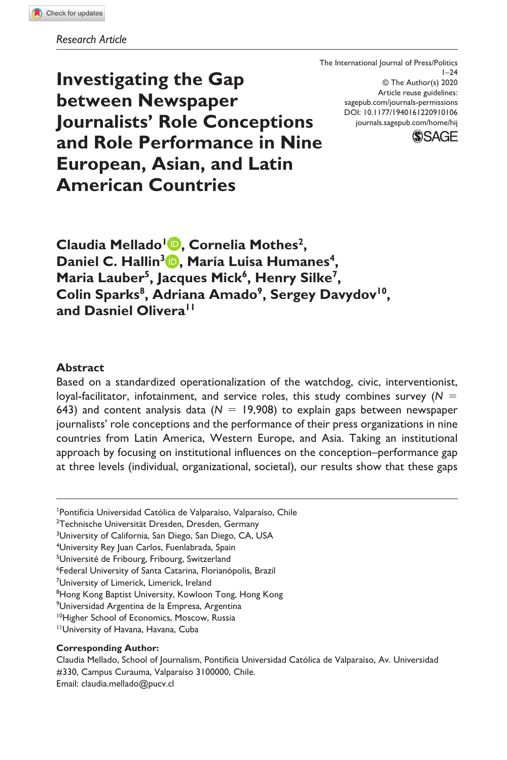**Investigating the Gap between Newspaper Journalists' Role Conceptions and Role Performance in Nine European, Asian, and Latin American Countries**

DOI: 10.1177/1940161220910106 The International Journal of Press/Politics  $1 - 24$ © The Author(s) 2020 Article reuse guidelines: [sagepub.com/journals-permissions](https://us.sagepub.com/en-us/journals-permissions) [journals.sagepub.com/home/hij](https://journals.sagepub.com/home/hij)



**Claudia Mellado1 , Cornelia Mothes2,**  Daniel C. Hallin<sup>3</sup> **D**, María Luisa Humanes<sup>4</sup>, Maria Lauber<sup>5</sup>, Jacques Mick<sup>6</sup>, Henry Silke<sup>7</sup>, Colin Sparks<sup>8</sup>, Adriana Amado<sup>9</sup>, Sergey Davydov<sup>10</sup>, **and Dasniel Olivera11**

### **Abstract**

Based on a standardized operationalization of the watchdog, civic, interventionist, loyal-facilitator, infotainment, and service roles, this study combines survey  $(N =$ 643) and content analysis data ( $N = 19,908$ ) to explain gaps between newspaper journalists' role conceptions and the performance of their press organizations in nine countries from Latin America, Western Europe, and Asia. Taking an institutional approach by focusing on institutional influences on the conception–performance gap at three levels (individual, organizational, societal), our results show that these gaps

1 Pontificia Universidad Católica de Valparaíso, Valparaíso, Chile

- <sup>2</sup>Technische Universität Dresden, Dresden, Germany
- <sup>3</sup>University of California, San Diego, San Diego, CA, USA
- 4 University Rey Juan Carlos, Fuenlabrada, Spain
- <sup>5</sup>Université de Fribourg, Fribourg, Switzerland
- 6 Federal University of Santa Catarina, Florianópolis, Brazil
- <sup>7</sup>University of Limerick, Limerick, Ireland
- 8 Hong Kong Baptist University, Kowloon Tong, Hong Kong
- 9 Universidad Argentina de la Empresa, Argentina
- <sup>10</sup>Higher School of Economics, Moscow, Russia
- 11University of Havana, Havana, Cuba

#### **Corresponding Author:**

Claudia Mellado, School of Journalism, Pontificia Universidad Católica de Valparaíso, Av. Universidad #330, Campus Curauma, Valparaíso 3100000, Chile. Email: [claudia.mellado@pucv.cl](mailto:claudia.mellado@pucv.cl)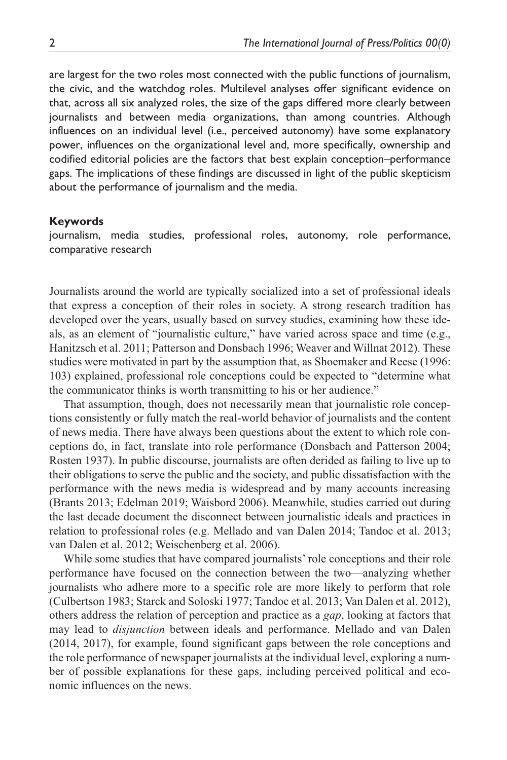are largest for the two roles most connected with the public functions of journalism, the civic, and the watchdog roles. Multilevel analyses offer significant evidence on that, across all six analyzed roles, the size of the gaps differed more clearly between journalists and between media organizations, than among countries. Although influences on an individual level (i.e., perceived autonomy) have some explanatory power, influences on the organizational level and, more specifically, ownership and codified editorial policies are the factors that best explain conception–performance gaps. The implications of these findings are discussed in light of the public skepticism about the performance of journalism and the media.

#### **Keywords**

journalism, media studies, professional roles, autonomy, role performance, comparative research

Journalists around the world are typically socialized into a set of professional ideals that express a conception of their roles in society. A strong research tradition has developed over the years, usually based on survey studies, examining how these ideals, as an element of "journalistic culture," have varied across space and time (e.g., Hanitzsch et al. 2011; Patterson and Donsbach 1996; Weaver and Willnat 2012). These studies were motivated in part by the assumption that, as Shoemaker and Reese (1996: 103) explained, professional role conceptions could be expected to "determine what the communicator thinks is worth transmitting to his or her audience."

That assumption, though, does not necessarily mean that journalistic role conceptions consistently or fully match the real-world behavior of journalists and the content of news media. There have always been questions about the extent to which role conceptions do, in fact, translate into role performance (Donsbach and Patterson 2004; Rosten 1937). In public discourse, journalists are often derided as failing to live up to their obligations to serve the public and the society, and public dissatisfaction with the performance with the news media is widespread and by many accounts increasing (Brants 2013; Edelman 2019; Waisbord 2006). Meanwhile, studies carried out during the last decade document the disconnect between journalistic ideals and practices in relation to professional roles (e.g. Mellado and van Dalen 2014; Tandoc et al. 2013; van Dalen et al. 2012; Weischenberg et al. 2006).

While some studies that have compared journalists' role conceptions and their role performance have focused on the connection between the two—analyzing whether journalists who adhere more to a specific role are more likely to perform that role (Culbertson 1983; Starck and Soloski 1977; Tandoc et al. 2013; Van Dalen et al. 2012), others address the relation of perception and practice as a *gap*, looking at factors that may lead to *disjunction* between ideals and performance. Mellado and van Dalen (2014, 2017), for example, found significant gaps between the role conceptions and the role performance of newspaper journalists at the individual level, exploring a number of possible explanations for these gaps, including perceived political and economic influences on the news.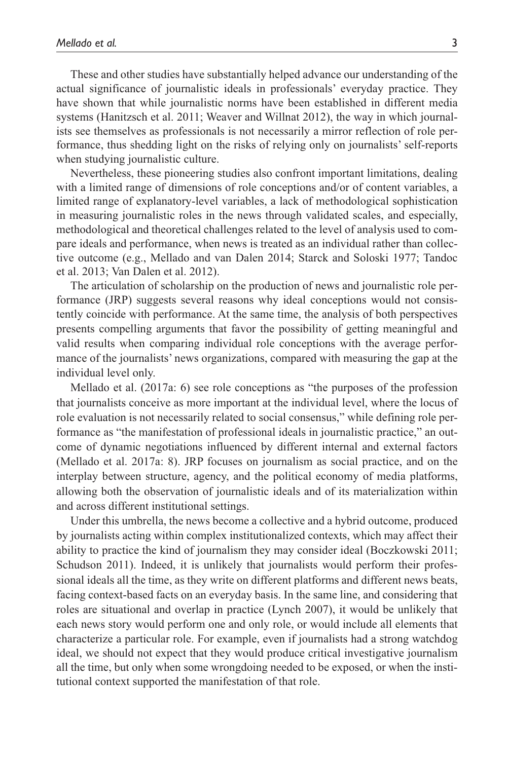These and other studies have substantially helped advance our understanding of the actual significance of journalistic ideals in professionals' everyday practice. They have shown that while journalistic norms have been established in different media systems (Hanitzsch et al. 2011; Weaver and Willnat 2012), the way in which journalists see themselves as professionals is not necessarily a mirror reflection of role performance, thus shedding light on the risks of relying only on journalists' self-reports when studying journalistic culture.

Nevertheless, these pioneering studies also confront important limitations, dealing with a limited range of dimensions of role conceptions and/or of content variables, a limited range of explanatory-level variables, a lack of methodological sophistication in measuring journalistic roles in the news through validated scales, and especially, methodological and theoretical challenges related to the level of analysis used to compare ideals and performance, when news is treated as an individual rather than collective outcome (e.g., Mellado and van Dalen 2014; Starck and Soloski 1977; Tandoc et al. 2013; Van Dalen et al. 2012).

The articulation of scholarship on the production of news and journalistic role performance (JRP) suggests several reasons why ideal conceptions would not consistently coincide with performance. At the same time, the analysis of both perspectives presents compelling arguments that favor the possibility of getting meaningful and valid results when comparing individual role conceptions with the average performance of the journalists' news organizations, compared with measuring the gap at the individual level only.

Mellado et al. (2017a: 6) see role conceptions as "the purposes of the profession that journalists conceive as more important at the individual level, where the locus of role evaluation is not necessarily related to social consensus," while defining role performance as "the manifestation of professional ideals in journalistic practice," an outcome of dynamic negotiations influenced by different internal and external factors (Mellado et al. 2017a: 8). JRP focuses on journalism as social practice, and on the interplay between structure, agency, and the political economy of media platforms, allowing both the observation of journalistic ideals and of its materialization within and across different institutional settings.

Under this umbrella, the news become a collective and a hybrid outcome, produced by journalists acting within complex institutionalized contexts, which may affect their ability to practice the kind of journalism they may consider ideal (Boczkowski 2011; Schudson 2011). Indeed, it is unlikely that journalists would perform their professional ideals all the time, as they write on different platforms and different news beats, facing context-based facts on an everyday basis. In the same line, and considering that roles are situational and overlap in practice (Lynch 2007), it would be unlikely that each news story would perform one and only role, or would include all elements that characterize a particular role. For example, even if journalists had a strong watchdog ideal, we should not expect that they would produce critical investigative journalism all the time, but only when some wrongdoing needed to be exposed, or when the institutional context supported the manifestation of that role.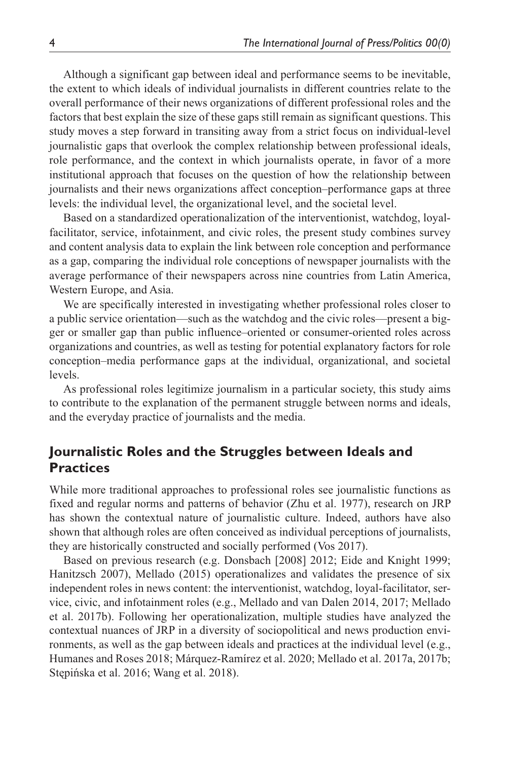Although a significant gap between ideal and performance seems to be inevitable, the extent to which ideals of individual journalists in different countries relate to the overall performance of their news organizations of different professional roles and the factors that best explain the size of these gaps still remain as significant questions. This study moves a step forward in transiting away from a strict focus on individual-level journalistic gaps that overlook the complex relationship between professional ideals, role performance, and the context in which journalists operate, in favor of a more institutional approach that focuses on the question of how the relationship between journalists and their news organizations affect conception–performance gaps at three levels: the individual level, the organizational level, and the societal level.

Based on a standardized operationalization of the interventionist, watchdog, loyalfacilitator, service, infotainment, and civic roles, the present study combines survey and content analysis data to explain the link between role conception and performance as a gap, comparing the individual role conceptions of newspaper journalists with the average performance of their newspapers across nine countries from Latin America, Western Europe, and Asia.

We are specifically interested in investigating whether professional roles closer to a public service orientation—such as the watchdog and the civic roles—present a bigger or smaller gap than public influence–oriented or consumer-oriented roles across organizations and countries, as well as testing for potential explanatory factors for role conception–media performance gaps at the individual, organizational, and societal levels.

As professional roles legitimize journalism in a particular society, this study aims to contribute to the explanation of the permanent struggle between norms and ideals, and the everyday practice of journalists and the media.

# **Journalistic Roles and the Struggles between Ideals and Practices**

While more traditional approaches to professional roles see journalistic functions as fixed and regular norms and patterns of behavior (Zhu et al. 1977), research on JRP has shown the contextual nature of journalistic culture. Indeed, authors have also shown that although roles are often conceived as individual perceptions of journalists, they are historically constructed and socially performed (Vos 2017).

Based on previous research (e.g. Donsbach [2008] 2012; Eide and Knight 1999; Hanitzsch 2007), Mellado (2015) operationalizes and validates the presence of six independent roles in news content: the interventionist, watchdog, loyal-facilitator, service, civic, and infotainment roles (e.g., Mellado and van Dalen 2014, 2017; Mellado et al. 2017b). Following her operationalization, multiple studies have analyzed the contextual nuances of JRP in a diversity of sociopolitical and news production environments, as well as the gap between ideals and practices at the individual level (e.g., Humanes and Roses 2018; Márquez-Ramírez et al. 2020; Mellado et al. 2017a, 2017b; Stępińska et al. 2016; Wang et al. 2018).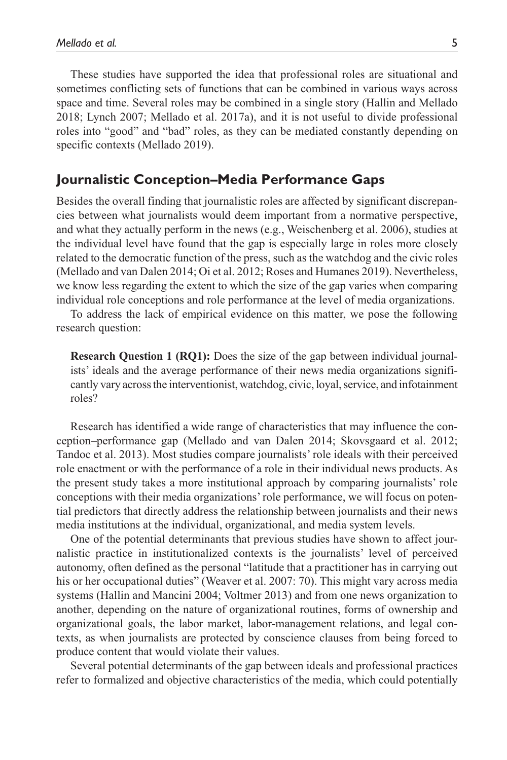These studies have supported the idea that professional roles are situational and sometimes conflicting sets of functions that can be combined in various ways across space and time. Several roles may be combined in a single story (Hallin and Mellado 2018; Lynch 2007; Mellado et al. 2017a), and it is not useful to divide professional roles into "good" and "bad" roles, as they can be mediated constantly depending on specific contexts (Mellado 2019).

## **Journalistic Conception–Media Performance Gaps**

Besides the overall finding that journalistic roles are affected by significant discrepancies between what journalists would deem important from a normative perspective, and what they actually perform in the news (e.g., Weischenberg et al. 2006), studies at the individual level have found that the gap is especially large in roles more closely related to the democratic function of the press, such as the watchdog and the civic roles (Mellado and van Dalen 2014; Oi et al. 2012; Roses and Humanes 2019). Nevertheless, we know less regarding the extent to which the size of the gap varies when comparing individual role conceptions and role performance at the level of media organizations.

To address the lack of empirical evidence on this matter, we pose the following research question:

**Research Question 1 (RQ1):** Does the size of the gap between individual journalists' ideals and the average performance of their news media organizations significantly vary across the interventionist, watchdog, civic, loyal, service, and infotainment roles?

Research has identified a wide range of characteristics that may influence the conception–performance gap (Mellado and van Dalen 2014; Skovsgaard et al. 2012; Tandoc et al. 2013). Most studies compare journalists' role ideals with their perceived role enactment or with the performance of a role in their individual news products. As the present study takes a more institutional approach by comparing journalists' role conceptions with their media organizations' role performance, we will focus on potential predictors that directly address the relationship between journalists and their news media institutions at the individual, organizational, and media system levels.

One of the potential determinants that previous studies have shown to affect journalistic practice in institutionalized contexts is the journalists' level of perceived autonomy, often defined as the personal "latitude that a practitioner has in carrying out his or her occupational duties" (Weaver et al. 2007: 70). This might vary across media systems (Hallin and Mancini 2004; Voltmer 2013) and from one news organization to another, depending on the nature of organizational routines, forms of ownership and organizational goals, the labor market, labor-management relations, and legal contexts, as when journalists are protected by conscience clauses from being forced to produce content that would violate their values.

Several potential determinants of the gap between ideals and professional practices refer to formalized and objective characteristics of the media, which could potentially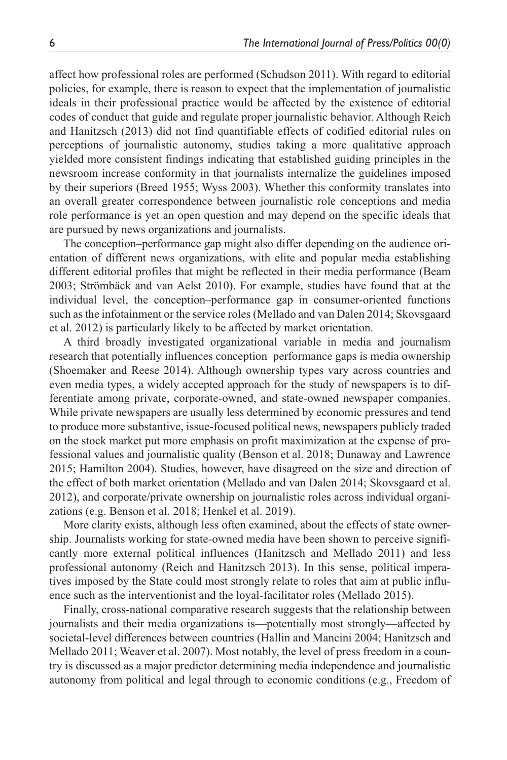affect how professional roles are performed (Schudson 2011). With regard to editorial policies, for example, there is reason to expect that the implementation of journalistic ideals in their professional practice would be affected by the existence of editorial codes of conduct that guide and regulate proper journalistic behavior. Although Reich and Hanitzsch (2013) did not find quantifiable effects of codified editorial rules on perceptions of journalistic autonomy, studies taking a more qualitative approach yielded more consistent findings indicating that established guiding principles in the newsroom increase conformity in that journalists internalize the guidelines imposed by their superiors (Breed 1955; Wyss 2003). Whether this conformity translates into an overall greater correspondence between journalistic role conceptions and media role performance is yet an open question and may depend on the specific ideals that are pursued by news organizations and journalists.

The conception–performance gap might also differ depending on the audience orientation of different news organizations, with elite and popular media establishing different editorial profiles that might be reflected in their media performance (Beam 2003; Strömbäck and van Aelst 2010). For example, studies have found that at the individual level, the conception–performance gap in consumer-oriented functions such as the infotainment or the service roles (Mellado and van Dalen 2014; Skovsgaard et al. 2012) is particularly likely to be affected by market orientation.

A third broadly investigated organizational variable in media and journalism research that potentially influences conception–performance gaps is media ownership (Shoemaker and Reese 2014). Although ownership types vary across countries and even media types, a widely accepted approach for the study of newspapers is to differentiate among private, corporate-owned, and state-owned newspaper companies. While private newspapers are usually less determined by economic pressures and tend to produce more substantive, issue-focused political news, newspapers publicly traded on the stock market put more emphasis on profit maximization at the expense of professional values and journalistic quality (Benson et al. 2018; Dunaway and Lawrence 2015; Hamilton 2004). Studies, however, have disagreed on the size and direction of the effect of both market orientation (Mellado and van Dalen 2014; Skovsgaard et al. 2012), and corporate/private ownership on journalistic roles across individual organizations (e.g. Benson et al. 2018; Henkel et al. 2019).

More clarity exists, although less often examined, about the effects of state ownership. Journalists working for state-owned media have been shown to perceive significantly more external political influences (Hanitzsch and Mellado 2011) and less professional autonomy (Reich and Hanitzsch 2013). In this sense, political imperatives imposed by the State could most strongly relate to roles that aim at public influence such as the interventionist and the loyal-facilitator roles (Mellado 2015).

Finally, cross-national comparative research suggests that the relationship between journalists and their media organizations is—potentially most strongly—affected by societal-level differences between countries (Hallin and Mancini 2004; Hanitzsch and Mellado 2011; Weaver et al. 2007). Most notably, the level of press freedom in a country is discussed as a major predictor determining media independence and journalistic autonomy from political and legal through to economic conditions (e.g., Freedom of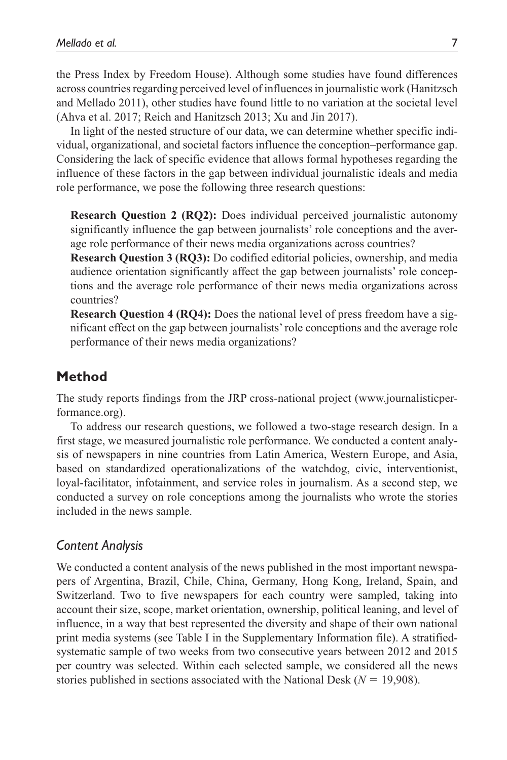the Press Index by Freedom House). Although some studies have found differences across countries regarding perceived level of influences in journalistic work (Hanitzsch and Mellado 2011), other studies have found little to no variation at the societal level (Ahva et al. 2017; Reich and Hanitzsch 2013; Xu and Jin 2017).

In light of the nested structure of our data, we can determine whether specific individual, organizational, and societal factors influence the conception–performance gap. Considering the lack of specific evidence that allows formal hypotheses regarding the influence of these factors in the gap between individual journalistic ideals and media role performance, we pose the following three research questions:

**Research Question 2 (RQ2):** Does individual perceived journalistic autonomy significantly influence the gap between journalists' role conceptions and the average role performance of their news media organizations across countries?

**Research Question 3 (RQ3):** Do codified editorial policies, ownership, and media audience orientation significantly affect the gap between journalists' role conceptions and the average role performance of their news media organizations across countries?

**Research Question 4 (RQ4):** Does the national level of press freedom have a significant effect on the gap between journalists' role conceptions and the average role performance of their news media organizations?

## **Method**

The study reports findings from the JRP cross-national project ([www.journalisticper](www.journalisticperformance.org)[formance.org](www.journalisticperformance.org)).

To address our research questions, we followed a two-stage research design. In a first stage, we measured journalistic role performance. We conducted a content analysis of newspapers in nine countries from Latin America, Western Europe, and Asia, based on standardized operationalizations of the watchdog, civic, interventionist, loyal-facilitator, infotainment, and service roles in journalism. As a second step, we conducted a survey on role conceptions among the journalists who wrote the stories included in the news sample.

## *Content Analysis*

We conducted a content analysis of the news published in the most important newspapers of Argentina, Brazil, Chile, China, Germany, Hong Kong, Ireland, Spain, and Switzerland. Two to five newspapers for each country were sampled, taking into account their size, scope, market orientation, ownership, political leaning, and level of influence, in a way that best represented the diversity and shape of their own national print media systems (see Table I in the Supplementary Information file). A stratifiedsystematic sample of two weeks from two consecutive years between 2012 and 2015 per country was selected. Within each selected sample, we considered all the news stories published in sections associated with the National Desk (*N* = 19,908).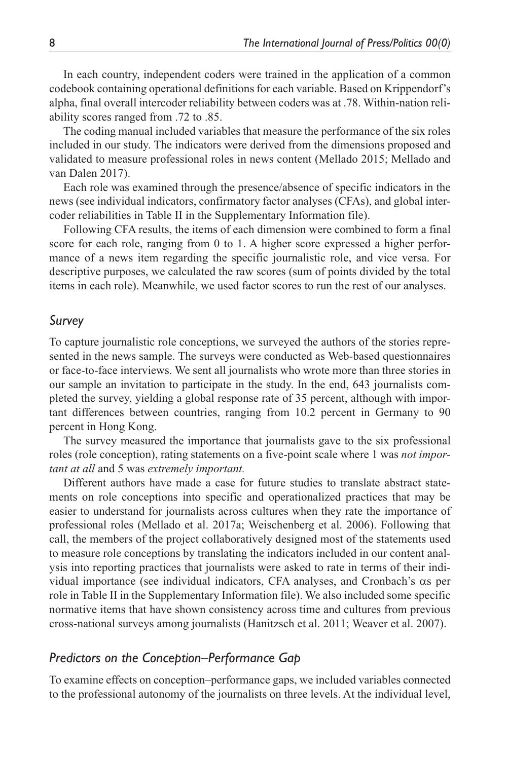In each country, independent coders were trained in the application of a common codebook containing operational definitions for each variable. Based on Krippendorf's alpha, final overall intercoder reliability between coders was at .78. Within-nation reliability scores ranged from .72 to .85.

The coding manual included variables that measure the performance of the six roles included in our study. The indicators were derived from the dimensions proposed and validated to measure professional roles in news content (Mellado 2015; Mellado and van Dalen 2017).

Each role was examined through the presence/absence of specific indicators in the news (see individual indicators, confirmatory factor analyses (CFAs), and global intercoder reliabilities in Table II in the Supplementary Information file).

Following CFA results, the items of each dimension were combined to form a final score for each role, ranging from 0 to 1. A higher score expressed a higher performance of a news item regarding the specific journalistic role, and vice versa. For descriptive purposes, we calculated the raw scores (sum of points divided by the total items in each role). Meanwhile, we used factor scores to run the rest of our analyses.

## *Survey*

To capture journalistic role conceptions, we surveyed the authors of the stories represented in the news sample. The surveys were conducted as Web-based questionnaires or face-to-face interviews. We sent all journalists who wrote more than three stories in our sample an invitation to participate in the study. In the end, 643 journalists completed the survey, yielding a global response rate of 35 percent, although with important differences between countries, ranging from 10.2 percent in Germany to 90 percent in Hong Kong.

The survey measured the importance that journalists gave to the six professional roles (role conception), rating statements on a five-point scale where 1 was *not important at all* and 5 was *extremely important.*

Different authors have made a case for future studies to translate abstract statements on role conceptions into specific and operationalized practices that may be easier to understand for journalists across cultures when they rate the importance of professional roles (Mellado et al. 2017a; Weischenberg et al. 2006). Following that call, the members of the project collaboratively designed most of the statements used to measure role conceptions by translating the indicators included in our content analysis into reporting practices that journalists were asked to rate in terms of their individual importance (see individual indicators, CFA analyses, and Cronbach's αs per role in Table II in the Supplementary Information file). We also included some specific normative items that have shown consistency across time and cultures from previous cross-national surveys among journalists (Hanitzsch et al. 2011; Weaver et al. 2007).

## *Predictors on the Conception–Performance Gap*

To examine effects on conception–performance gaps, we included variables connected to the professional autonomy of the journalists on three levels. At the individual level,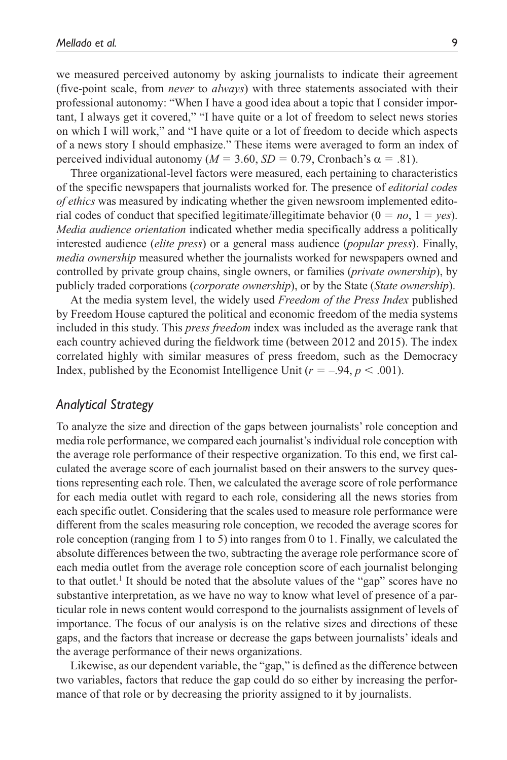we measured perceived autonomy by asking journalists to indicate their agreement (five-point scale, from *never* to *always*) with three statements associated with their professional autonomy: "When I have a good idea about a topic that I consider important, I always get it covered," "I have quite or a lot of freedom to select news stories on which I will work," and "I have quite or a lot of freedom to decide which aspects of a news story I should emphasize." These items were averaged to form an index of perceived individual autonomy ( $M = 3.60$ ,  $SD = 0.79$ , Cronbach's  $\alpha = .81$ ).

Three organizational-level factors were measured, each pertaining to characteristics of the specific newspapers that journalists worked for. The presence of *editorial codes of ethics* was measured by indicating whether the given newsroom implemented editorial codes of conduct that specified legitimate/illegitimate behavior  $(0 = no, 1 = yes)$ . *Media audience orientation* indicated whether media specifically address a politically interested audience (*elite press*) or a general mass audience (*popular press*). Finally, *media ownership* measured whether the journalists worked for newspapers owned and controlled by private group chains, single owners, or families (*private ownership*), by publicly traded corporations (*corporate ownership*), or by the State (*State ownership*).

At the media system level, the widely used *Freedom of the Press Index* published by Freedom House captured the political and economic freedom of the media systems included in this study. This *press freedom* index was included as the average rank that each country achieved during the fieldwork time (between 2012 and 2015). The index correlated highly with similar measures of press freedom, such as the Democracy Index, published by the Economist Intelligence Unit  $(r = -.94, p < .001)$ .

### *Analytical Strategy*

To analyze the size and direction of the gaps between journalists' role conception and media role performance, we compared each journalist's individual role conception with the average role performance of their respective organization. To this end, we first calculated the average score of each journalist based on their answers to the survey questions representing each role. Then, we calculated the average score of role performance for each media outlet with regard to each role, considering all the news stories from each specific outlet. Considering that the scales used to measure role performance were different from the scales measuring role conception, we recoded the average scores for role conception (ranging from 1 to 5) into ranges from 0 to 1. Finally, we calculated the absolute differences between the two, subtracting the average role performance score of each media outlet from the average role conception score of each journalist belonging to that outlet.<sup>1</sup> It should be noted that the absolute values of the "gap" scores have no substantive interpretation, as we have no way to know what level of presence of a particular role in news content would correspond to the journalists assignment of levels of importance. The focus of our analysis is on the relative sizes and directions of these gaps, and the factors that increase or decrease the gaps between journalists' ideals and the average performance of their news organizations.

Likewise, as our dependent variable, the "gap," is defined as the difference between two variables, factors that reduce the gap could do so either by increasing the performance of that role or by decreasing the priority assigned to it by journalists.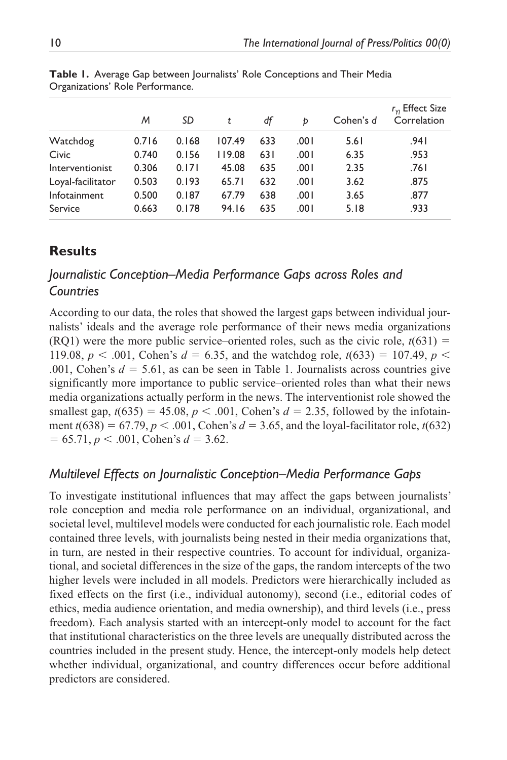|                   | M     | SD    | t      | df  | Þ     | Cohen's d | $r_{\rm v}$ Effect Size<br>Correlation |
|-------------------|-------|-------|--------|-----|-------|-----------|----------------------------------------|
| Watchdog          | 0.716 | 0.168 | 107.49 | 633 | .001  | 5.61      | .941                                   |
| Civic             | 0.740 | 0.156 | 119.08 | 631 | .001  | 6.35      | .953                                   |
| Interventionist   | 0.306 | 0.171 | 45.08  | 635 | ا 00. | 2.35      | .761                                   |
| Loyal-facilitator | 0.503 | 0.193 | 65.71  | 632 | .001  | 3.62      | .875                                   |
| Infotainment      | 0.500 | 0.187 | 67.79  | 638 | .001  | 3.65      | .877                                   |
| Service           | 0.663 | 0.178 | 94.16  | 635 | .001  | 5.18      | .933                                   |

**Table 1.** Average Gap between Journalists' Role Conceptions and Their Media Organizations' Role Performance.

# **Results**

# *Journalistic Conception–Media Performance Gaps across Roles and Countries*

According to our data, the roles that showed the largest gaps between individual journalists' ideals and the average role performance of their news media organizations (RQ1) were the more public service–oriented roles, such as the civic role,  $t(631)$  = 119.08,  $p < .001$ , Cohen's  $d = 6.35$ , and the watchdog role,  $t(633) = 107.49$ ,  $p <$ .001, Cohen's  $d = 5.61$ , as can be seen in Table 1. Journalists across countries give significantly more importance to public service–oriented roles than what their news media organizations actually perform in the news. The interventionist role showed the smallest gap,  $t(635) = 45.08$ ,  $p < .001$ , Cohen's  $d = 2.35$ , followed by the infotainment  $t(638) = 67.79$ ,  $p < .001$ , Cohen's  $d = 3.65$ , and the loyal-facilitator role,  $t(632)$  $= 65.71, p < .001, \text{Cohen's } d = 3.62.$ 

# *Multilevel Effects on Journalistic Conception–Media Performance Gaps*

To investigate institutional influences that may affect the gaps between journalists' role conception and media role performance on an individual, organizational, and societal level, multilevel models were conducted for each journalistic role. Each model contained three levels, with journalists being nested in their media organizations that, in turn, are nested in their respective countries. To account for individual, organizational, and societal differences in the size of the gaps, the random intercepts of the two higher levels were included in all models. Predictors were hierarchically included as fixed effects on the first (i.e., individual autonomy), second (i.e., editorial codes of ethics, media audience orientation, and media ownership), and third levels (i.e., press freedom). Each analysis started with an intercept-only model to account for the fact that institutional characteristics on the three levels are unequally distributed across the countries included in the present study. Hence, the intercept-only models help detect whether individual, organizational, and country differences occur before additional predictors are considered.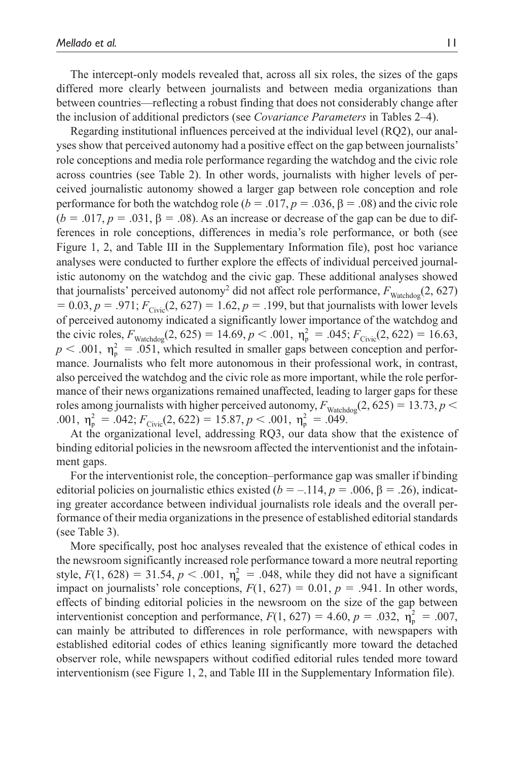The intercept-only models revealed that, across all six roles, the sizes of the gaps differed more clearly between journalists and between media organizations than between countries—reflecting a robust finding that does not considerably change after the inclusion of additional predictors (see *Covariance Parameters* in Tables 2–4).

Regarding institutional influences perceived at the individual level (RQ2), our analyses show that perceived autonomy had a positive effect on the gap between journalists' role conceptions and media role performance regarding the watchdog and the civic role across countries (see Table 2). In other words, journalists with higher levels of perceived journalistic autonomy showed a larger gap between role conception and role performance for both the watchdog role ( $b = .017$ ,  $p = .036$ ,  $\beta = .08$ ) and the civic role  $(b = .017, p = .031, \beta = .08)$ . As an increase or decrease of the gap can be due to differences in role conceptions, differences in media's role performance, or both (see Figure 1, 2, and Table III in the Supplementary Information file), post hoc variance analyses were conducted to further explore the effects of individual perceived journalistic autonomy on the watchdog and the civic gap. These additional analyses showed that journalists' perceived autonomy<sup>2</sup> did not affect role performance,  $F_{\text{Watchdog}}(2, 627)$  $= 0.03, p = .971; F_{\text{Civic}}(2, 627) = 1.62, p = .199$ , but that journalists with lower levels of perceived autonomy indicated a significantly lower importance of the watchdog and the civic roles,  $F_{\text{Watchdog}}(2, 625) = 14.69, p < .001, \eta_p^2 = .045; F_{\text{Civic}}(2, 622) = 16.63,$  $p < .001$ ,  $\eta_p^2 = .051$ , which resulted in smaller gaps between conception and performance. Journalists who felt more autonomous in their professional work, in contrast, also perceived the watchdog and the civic role as more important, while the role performance of their news organizations remained unaffected, leading to larger gaps for these roles among journalists with higher perceived autonomy,  $F_{\text{Watchdog}}(2, 625) = 13.73, p <$ .001,  $\eta_p^2 = .042$ ;  $F_{\text{Civic}}(2, 622) = 15.87, p < .001, \eta_p^2 = .049$ .

At the organizational level, addressing RQ3, our data show that the existence of binding editorial policies in the newsroom affected the interventionist and the infotainment gaps.

For the interventionist role, the conception–performance gap was smaller if binding editorial policies on journalistic ethics existed ( $b = -.114$ ,  $p = .006$ ,  $\beta = .26$ ), indicating greater accordance between individual journalists role ideals and the overall performance of their media organizations in the presence of established editorial standards (see Table 3).

More specifically, post hoc analyses revealed that the existence of ethical codes in the newsroom significantly increased role performance toward a more neutral reporting style,  $F(1, 628) = 31.54$ ,  $p < .001$ ,  $\eta_p^2 = .048$ , while they did not have a significant impact on journalists' role conceptions,  $F(1, 627) = 0.01$ ,  $p = .941$ . In other words, effects of binding editorial policies in the newsroom on the size of the gap between interventionist conception and performance,  $F(1, 627) = 4.60$ ,  $p = .032$ ,  $\eta_p^2 = .007$ , can mainly be attributed to differences in role performance, with newspapers with established editorial codes of ethics leaning significantly more toward the detached observer role, while newspapers without codified editorial rules tended more toward interventionism (see Figure 1, 2, and Table III in the Supplementary Information file).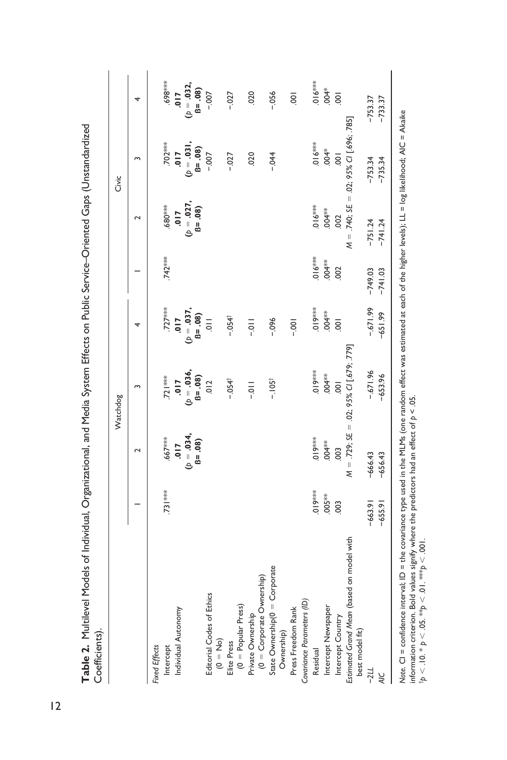|                                                                                                                                                                                  |               |                            | Watchdog                                   |                   |           |                  | Civic                                   |                  |
|----------------------------------------------------------------------------------------------------------------------------------------------------------------------------------|---------------|----------------------------|--------------------------------------------|-------------------|-----------|------------------|-----------------------------------------|------------------|
|                                                                                                                                                                                  |               | $\sim$                     | ω                                          | 4                 |           | $\sim$           |                                         | 4                |
| Fixed Effects                                                                                                                                                                    |               |                            |                                            |                   |           |                  |                                         |                  |
| Intercept                                                                                                                                                                        | <b>731***</b> | $.667***$                  | <b>721***</b>                              | $.727***$         | 742***    | $.680***$        | .702 ***                                | 1698***          |
| Individual Autonomy                                                                                                                                                              |               | 710.                       | $-017$                                     | 710.              |           | $-017$           | $\frac{1}{2}$                           | $\frac{7}{10}$   |
|                                                                                                                                                                                  |               | $(p = .034,$<br>$0 = .08)$ | $(p = .036,$ B= .08)                       | $(p = .037, 08)$  |           | $(p = .027, 08)$ | $(p = .031,$<br>$\beta = .08)$          | $(p = .032, 08)$ |
|                                                                                                                                                                                  |               |                            |                                            |                   |           |                  |                                         |                  |
| Editorial Codes of Ethics                                                                                                                                                        |               |                            | 012                                        | $\equiv$          |           |                  | $-0.007$                                | $-007$           |
|                                                                                                                                                                                  |               |                            |                                            |                   |           |                  |                                         |                  |
|                                                                                                                                                                                  |               |                            | $-0.54^{\dagger}$                          | $-0.54^{\dagger}$ |           |                  | $-0.07$                                 | $-0.07$          |
|                                                                                                                                                                                  |               |                            |                                            |                   |           |                  |                                         |                  |
|                                                                                                                                                                                  |               |                            | $-011$                                     | $\frac{1}{2}$     |           |                  | .020                                    | 020              |
|                                                                                                                                                                                  |               |                            |                                            |                   |           |                  |                                         |                  |
| $(0 = \mathsf{No})$<br>Elite Press<br>$(0 = \mathsf{Popular\ Press})$<br>Private Ownership<br>$(0 = \mathsf{Corporate\ Ownership})$<br>State Ownership $(0 = \mathsf{Corporate\$ |               |                            | $-105^{\dagger}$                           | $-0.06$           |           |                  | $-0.44$                                 | $-0.56$          |
|                                                                                                                                                                                  |               |                            |                                            |                   |           |                  |                                         |                  |
| Press Freedom Rank                                                                                                                                                               |               |                            |                                            | $-0.001$          |           |                  |                                         | $\overline{5}$   |
| Covariance Parameters (ID)                                                                                                                                                       |               |                            |                                            |                   |           |                  |                                         |                  |
| Residual                                                                                                                                                                         | ****610       | ***910.                    | ***010.                                    | ****610           | $.016***$ | $.016***$        | $.016***$                               | $.016***$        |
| Intercept Newspaper                                                                                                                                                              | $.005**$      | $.004**$                   | $.004**$                                   | $.004**$          | $.004**$  | $.004**$         | $.004*$                                 | $.004*$          |
| Intercept Country                                                                                                                                                                | .003          | 003                        | $\overline{5}$                             | $\overline{5}$    | .002      | .002             | $\overline{5}$                          | $\overline{5}$   |
| Estimated Grand Mean (based on model with<br>best model fit)                                                                                                                     |               |                            | $M = .729$ ; SE = .02; 95% CI [.679; .779] |                   |           | $\frac{1}{2}$    | $.740;$ SE = $.02;$ 95% CI [.696; .785] |                  |
| $-211$                                                                                                                                                                           | $-663.91$     | $-666.43$                  | $-671.96$                                  | $-671.99$         | $-749.03$ | $-751.24$        | $-753.34$                               | $-753.37$        |
|                                                                                                                                                                                  | $-655.91$     | $-656.43$                  | $-653.96$                                  | $-651.99$         | $-741.03$ | $-741.24$        | $-735.34$                               | $-733.37$        |

Table 2. Multilevel Models of Individual, Organizational, and Media System Effects on Public Service-Oriented Gaps (Unstandardized<br>Codesistency **Table 2.** Multilevel Models of Individual, Organizational, and Media System Effects on Public Service–Oriented Gaps (Unstandardized Coefficients). *Note.* CI = confidence interval; ID = the covariance type used in the MLMs (one random effect was estimated at each of the higher levels); LL = log likelihood; AIC = Akaike .<br>0 ò Note. ⊂I = comidence interva; i D = the covariance type used in the l'iLl'is (one random<br>information criterion. Bold values signify where the predictors had an effect of p < .05.<br>†p < .10. \* p < .05. \*\*p < .01. \*\*\*p < .00 information criterion. Bold values signify where the predictors had an effect of *p* < .05. †*p* < .10. \* *p* < .05. \*\**p* < .01. \*\*\**p* < .001.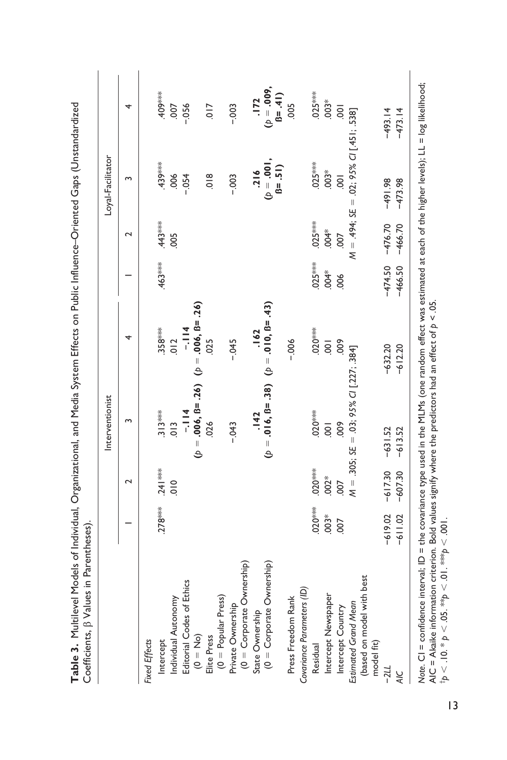|                                                                                                                                                                                                                                |           |               | Interventionist                                    |                                             |           |           | Loyal-Facilitator                          |                |
|--------------------------------------------------------------------------------------------------------------------------------------------------------------------------------------------------------------------------------|-----------|---------------|----------------------------------------------------|---------------------------------------------|-----------|-----------|--------------------------------------------|----------------|
|                                                                                                                                                                                                                                |           | $\sim$        | m                                                  | 4                                           |           | $\sim$    | m                                          | 4              |
| Fixed Effects                                                                                                                                                                                                                  |           |               |                                                    |                                             |           |           |                                            |                |
|                                                                                                                                                                                                                                | $.278***$ | $.241***$     | $.313***$                                          | $358***$                                    | $463***$  | $.443***$ | .439***                                    | $409***$       |
| Intercept<br>Individual Autonomy                                                                                                                                                                                               |           | $\frac{1}{2}$ | $\frac{1}{2}$                                      | $\frac{2}{10}$                              |           | 005       | 006                                        | 007            |
|                                                                                                                                                                                                                                |           |               | $-114$                                             | $-114$                                      |           |           | $-0.054$                                   | $-0.056$       |
|                                                                                                                                                                                                                                |           |               |                                                    | $(p = .006, B = .26)$ $(p = .006, B = .26)$ |           |           |                                            |                |
|                                                                                                                                                                                                                                |           |               | .026                                               | 025                                         |           |           | $\frac{8}{10}$                             | $\frac{1}{2}$  |
|                                                                                                                                                                                                                                |           |               |                                                    |                                             |           |           |                                            |                |
|                                                                                                                                                                                                                                |           |               | $-0.43$                                            | $-0.045$                                    |           |           | $-0.003$                                   | $-0.003$       |
|                                                                                                                                                                                                                                |           |               |                                                    |                                             |           |           |                                            |                |
|                                                                                                                                                                                                                                |           |               | .142                                               | .162                                        |           |           | .216                                       | .172           |
| Editorial Codes of Ethics<br>$(0 = No)$<br>Elite Press<br>$(0 = Popular Press)$<br>Private Ownership<br>$(0 = Copvare Omership)$<br>State Ownership<br>State Ownership<br>$(0 = Copvare Omership)$<br>$(0 = Copvare Omership)$ |           |               |                                                    | $(p = .016, 6 = .38)$ $(p = .010, 6 = .43)$ |           |           | $(p = .001,$                               | $(p = .009, )$ |
|                                                                                                                                                                                                                                |           |               |                                                    |                                             |           |           | $(15 - 3)$                                 | $(14. - 8)$    |
| Press Freedom Rank                                                                                                                                                                                                             |           |               |                                                    | $-0.006$                                    |           |           |                                            | 005            |
| Covariance Parameters (ID)                                                                                                                                                                                                     |           |               |                                                    |                                             |           |           |                                            |                |
| Residual                                                                                                                                                                                                                       | $.020***$ | $.020***$     | $.020***$                                          | $.020***$                                   | $.025***$ | $.025***$ | $.025***$                                  | $.025***$      |
| Intercept Newspaper                                                                                                                                                                                                            | $.003*$   | $.002*$       | $\overline{8}$                                     | $\overline{8}$                              | $.004*$   | $.004*$   | $.003*$                                    | $.003*$        |
| Intercept Country                                                                                                                                                                                                              | 007       | 007           | .009                                               | 600                                         | 006       | 007       | $\overline{8}$                             | $\overline{5}$ |
| Estimated Grand Mean                                                                                                                                                                                                           |           |               | $M = .305;$ $SE = .03;$ $95\%$ $CI$ $[.227; .384]$ |                                             |           |           | $M = .494; SE = .02; 95\% CI$ [.451; .538] |                |
| best<br>(based on model with<br>model fit)                                                                                                                                                                                     |           |               |                                                    |                                             |           |           |                                            |                |
| $-21L$                                                                                                                                                                                                                         | $-619.02$ | $-617.30$     | $-631.52$                                          | $-632.20$                                   | $-474.50$ | $-476.70$ | $-491.98$                                  | $-493.14$      |
|                                                                                                                                                                                                                                | $-611.02$ | $-607.30$     | $-613.52$                                          | $-612.20$                                   | $-466.50$ | $-466.70$ | $-473.98$                                  | $-473.14$      |

Table 3. Multilevel Models of Individual, Organizational, and Media System Effects on Public Influence–Oriented Gaps (Unstandardized<br>Codificients R Volume in Derenthesses) **Table 3.** Multilevel Models of Individual, Organizational, and Media System Effects on Public Influence–Oriented Gaps (Unstandardized Coefficients, β Values in Parentheses).

Note. CI = confidence interval; ID = the covariance type used in the MLMs (one random effect was est<br>AIC = Akaike information criterion. Bold values signify where the predictors had an effect of p < ,05.<br>†p < ,10. \* p < AIC = Akaike information criterion. Bold values signify where the predictors had an effect of *p* < .05. †*p* < .10. \* *p* < .05. \*\**p* < .01. \*\*\**p* < .001.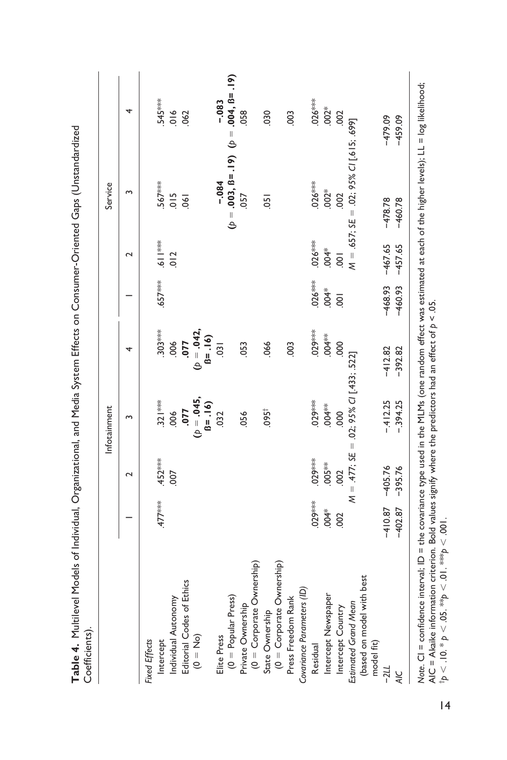|                                                                                                                                                                |                     |                | Infotainment                                     |                |                |                                | Service                                            |                                             |
|----------------------------------------------------------------------------------------------------------------------------------------------------------------|---------------------|----------------|--------------------------------------------------|----------------|----------------|--------------------------------|----------------------------------------------------|---------------------------------------------|
|                                                                                                                                                                |                     | 2              |                                                  | 4              |                | 2                              | $\sim$                                             | 4                                           |
| Fixed Effects                                                                                                                                                  |                     |                |                                                  |                |                |                                |                                                    |                                             |
| Intercept                                                                                                                                                      | $.477***$           | $.452***$      | $.321***$                                        | $.303***$      | $.657***$      | $\frac{1}{2}$<br>$\frac{1}{2}$ | $.567***$                                          | $.545***$                                   |
| Individual Autonomy                                                                                                                                            |                     | $\overline{5}$ | 006                                              | 006            |                | 012                            | $\frac{5}{10}$                                     | $rac{6}{10}$                                |
| Editorial Codes of Ethics                                                                                                                                      |                     |                | .077                                             | .077           |                |                                | $\overline{6}$                                     | 062                                         |
| $(0 - N)$                                                                                                                                                      |                     |                | $(p = .045,$                                     | $(p = .042,$   |                |                                |                                                    |                                             |
|                                                                                                                                                                |                     |                | (91.16)                                          | $(91. - 8)$    |                |                                |                                                    |                                             |
| Elite Press                                                                                                                                                    |                     |                | .032                                             | $\overline{a}$ |                |                                | $-0.84$                                            | $-0.083$                                    |
| $(0 = Popular Press)$                                                                                                                                          |                     |                |                                                  |                |                |                                |                                                    | $(p = .003, B = .19)$ $(p = .004, B = .19)$ |
| Private Ownership                                                                                                                                              |                     |                | 056                                              | 053            |                |                                | 057                                                | 058                                         |
| $(0 =$ Corporate Ownership)                                                                                                                                    |                     |                |                                                  |                |                |                                |                                                    |                                             |
| State Ownership                                                                                                                                                |                     |                | $.095^{\dagger}$                                 | .066           |                |                                | $-0.51$                                            | 030                                         |
| $(0 =$ Corporate Ownership)                                                                                                                                    |                     |                |                                                  |                |                |                                |                                                    |                                             |
| Press Freedom Rank                                                                                                                                             |                     |                |                                                  | 003            |                |                                |                                                    | $\frac{1}{2}$                               |
| Covariance Parameters (ID)                                                                                                                                     |                     |                |                                                  |                |                |                                |                                                    |                                             |
| Residual                                                                                                                                                       | 029***              | $.029***$      | $.029***$                                        | $.029***$      | $.026***$      | $.026***$                      | $.026***$                                          | $.026***$                                   |
| Intercept Newspaper                                                                                                                                            | $.004*$             | $.005**$       | $.004**$                                         | $.004***$      | $.004*$        | $.004*$                        | $.002*$                                            | $.002*$                                     |
| Intercept Country                                                                                                                                              | 002                 | .002           | 000                                              | .000           | $\overline{5}$ | $\overline{8}$                 | .002                                               | .002                                        |
| Estimated Grand Mean                                                                                                                                           |                     |                | $M = .477;$ $SE = .02;$ $95\%$ CI $[-433; .522]$ |                |                |                                | $M = .657; SE = .02; 95\% \text{ CI}$ [.615; .699] |                                             |
| (based on model with best<br>model fit)                                                                                                                        |                     |                |                                                  |                |                |                                |                                                    |                                             |
| $-2LL$                                                                                                                                                         | $-410.87$ $-405.76$ |                | $-412.25$                                        | $-412.82$      | $-468.93$      | $-467.65$                      | $-478.78$                                          | $-479.09$                                   |
| <b>AIC</b>                                                                                                                                                     | $-402.87$           | $-395.76$      | $-394.25$                                        | $-392.82$      | $-460.93$      | $-457.65$                      | $-460.78$                                          | $-459.09$                                   |
| Note. CI = confidence interval; ID = the covariance type used in the MLMs (one random effect was estimated at each of the higher levels); LL = log likelihood; |                     |                |                                                  |                |                |                                |                                                    |                                             |

AIC = Akaike information criterion. Bold values signify where the predictors had an effect of  $p < .05$ .<br><sup>1</sup>p  $< .10. * p < .05.$  \*\*p  $< .01.$ \*\*\*p  $< .001.$ AIC = Akaike information criterion. Bold values signify where the predictors had an effect of *p* < .05. †*p* < .10. \* *p* < .05. \*\**p* < .01. \*\*\**p* < .001.

14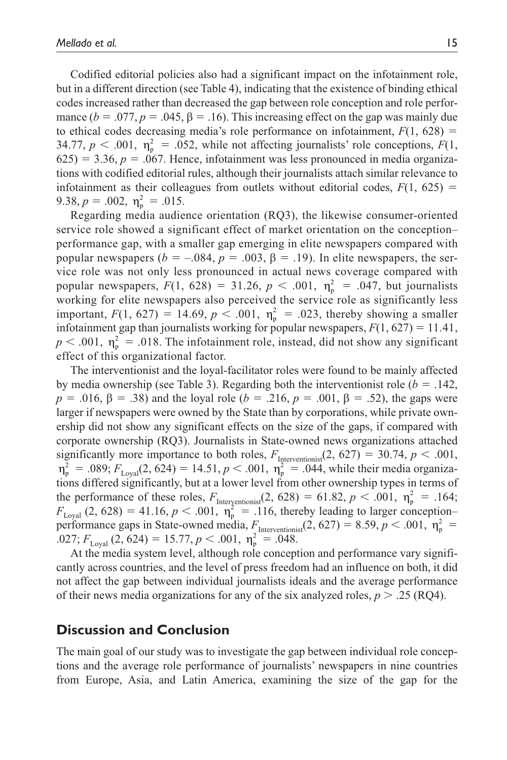Codified editorial policies also had a significant impact on the infotainment role, but in a different direction (see Table 4), indicating that the existence of binding ethical codes increased rather than decreased the gap between role conception and role performance  $(b = .077, p = .045, \beta = .16)$ . This increasing effect on the gap was mainly due to ethical codes decreasing media's role performance on infotainment,  $F(1, 628)$  = 34.77,  $p < .001$ ,  $\eta_p^2 = .052$ , while not affecting journalists' role conceptions,  $F(1, 0)$  $625$ ) = 3.36,  $p = 0.067$ . Hence, infotainment was less pronounced in media organizations with codified editorial rules, although their journalists attach similar relevance to infotainment as their colleagues from outlets without editorial codes,  $F(1, 625)$  = 9.38,  $p = .002$ ,  $\eta_p^2 = .015$ .

Regarding media audience orientation (RQ3), the likewise consumer-oriented service role showed a significant effect of market orientation on the conception– performance gap, with a smaller gap emerging in elite newspapers compared with popular newspapers ( $b = -.084$ ,  $p = .003$ ,  $\beta = .19$ ). In elite newspapers, the service role was not only less pronounced in actual news coverage compared with popular newspapers,  $F(1, 628) = 31.26$ ,  $p < .001$ ,  $\eta_p^2 = .047$ , but journalists working for elite newspapers also perceived the service role as significantly less important,  $F(1, 627) = 14.69$ ,  $p < .001$ ,  $\eta_p^2 = .023$ , thereby showing a smaller infotainment gap than journalists working for popular newspapers,  $F(1, 627) = 11.41$ ,  $p < .001$ ,  $\eta_p^2 = .018$ . The infotainment role, instead, did not show any significant effect of this organizational factor.

The interventionist and the loyal-facilitator roles were found to be mainly affected by media ownership (see Table 3). Regarding both the interventionist role ( $b = .142$ , *p* = .016,  $\beta$  = .38) and the loyal role (*b* = .216, *p* = .001,  $\beta$  = .52), the gaps were larger if newspapers were owned by the State than by corporations, while private ownership did not show any significant effects on the size of the gaps, if compared with corporate ownership (RQ3). Journalists in State-owned news organizations attached significantly more importance to both roles,  $F_{\text{Interventional}}(2, 627) = 30.74, p < .001,$  $\eta_{p}^{2} = .089; F_{\text{Logal}}(2, 624) = 14.51, p < .001, \eta_{p}^{2} = .044$ , while their media organizations differed significantly, but at a lower level from other ownership types in terms of the performance of these roles,  $F_{\text{Interyentionist}}(2, 628) = 61.82, p < .001, \eta_{\text{p}}^2 = .164;$  $F_{\text{Loyal}}(2, 628) = 41.16, p < .001, \eta_{\text{p}}^2 = .116$ , thereby leading to larger conception– performance gaps in State-owned media,  $F_{\text{Interventional}}(2, 627) = 8.59, p < .001, \eta_{p}^{2} =$ .027;  $F_{\text{Loyal}}(2, 624) = 15.77, p < .001, \eta_{p}^{2} = .048.$ 

At the media system level, although role conception and performance vary significantly across countries, and the level of press freedom had an influence on both, it did not affect the gap between individual journalists ideals and the average performance of their news media organizations for any of the six analyzed roles,  $p > .25$  (RQ4).

### **Discussion and Conclusion**

The main goal of our study was to investigate the gap between individual role conceptions and the average role performance of journalists' newspapers in nine countries from Europe, Asia, and Latin America, examining the size of the gap for the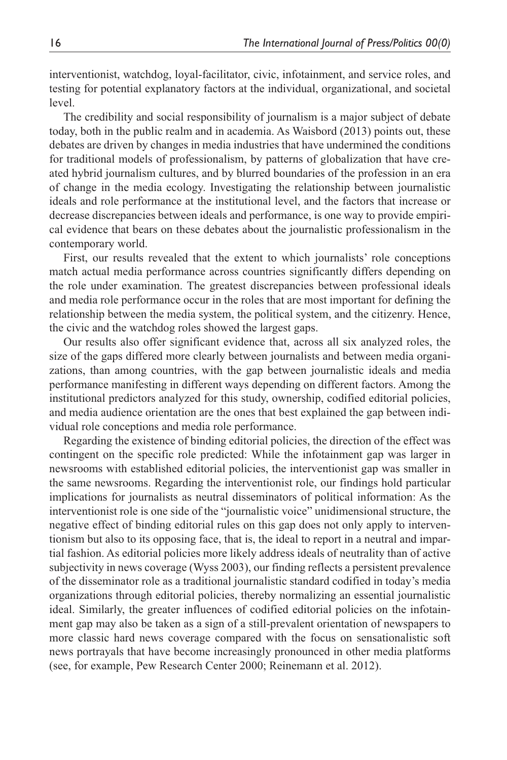interventionist, watchdog, loyal-facilitator, civic, infotainment, and service roles, and testing for potential explanatory factors at the individual, organizational, and societal level.

The credibility and social responsibility of journalism is a major subject of debate today, both in the public realm and in academia. As Waisbord (2013) points out, these debates are driven by changes in media industries that have undermined the conditions for traditional models of professionalism, by patterns of globalization that have created hybrid journalism cultures, and by blurred boundaries of the profession in an era of change in the media ecology. Investigating the relationship between journalistic ideals and role performance at the institutional level, and the factors that increase or decrease discrepancies between ideals and performance, is one way to provide empirical evidence that bears on these debates about the journalistic professionalism in the contemporary world.

First, our results revealed that the extent to which journalists' role conceptions match actual media performance across countries significantly differs depending on the role under examination. The greatest discrepancies between professional ideals and media role performance occur in the roles that are most important for defining the relationship between the media system, the political system, and the citizenry. Hence, the civic and the watchdog roles showed the largest gaps.

Our results also offer significant evidence that, across all six analyzed roles, the size of the gaps differed more clearly between journalists and between media organizations, than among countries, with the gap between journalistic ideals and media performance manifesting in different ways depending on different factors. Among the institutional predictors analyzed for this study, ownership, codified editorial policies, and media audience orientation are the ones that best explained the gap between individual role conceptions and media role performance.

Regarding the existence of binding editorial policies, the direction of the effect was contingent on the specific role predicted: While the infotainment gap was larger in newsrooms with established editorial policies, the interventionist gap was smaller in the same newsrooms. Regarding the interventionist role, our findings hold particular implications for journalists as neutral disseminators of political information: As the interventionist role is one side of the "journalistic voice" unidimensional structure, the negative effect of binding editorial rules on this gap does not only apply to interventionism but also to its opposing face, that is, the ideal to report in a neutral and impartial fashion. As editorial policies more likely address ideals of neutrality than of active subjectivity in news coverage (Wyss 2003), our finding reflects a persistent prevalence of the disseminator role as a traditional journalistic standard codified in today's media organizations through editorial policies, thereby normalizing an essential journalistic ideal. Similarly, the greater influences of codified editorial policies on the infotainment gap may also be taken as a sign of a still-prevalent orientation of newspapers to more classic hard news coverage compared with the focus on sensationalistic soft news portrayals that have become increasingly pronounced in other media platforms (see, for example, Pew Research Center 2000; Reinemann et al. 2012).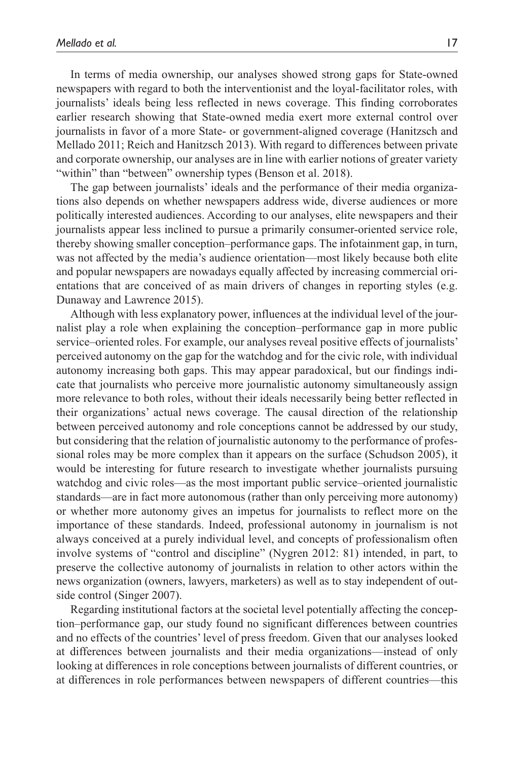In terms of media ownership, our analyses showed strong gaps for State-owned newspapers with regard to both the interventionist and the loyal-facilitator roles, with journalists' ideals being less reflected in news coverage. This finding corroborates earlier research showing that State-owned media exert more external control over journalists in favor of a more State- or government-aligned coverage (Hanitzsch and Mellado 2011; Reich and Hanitzsch 2013). With regard to differences between private and corporate ownership, our analyses are in line with earlier notions of greater variety "within" than "between" ownership types (Benson et al. 2018).

The gap between journalists' ideals and the performance of their media organizations also depends on whether newspapers address wide, diverse audiences or more politically interested audiences. According to our analyses, elite newspapers and their journalists appear less inclined to pursue a primarily consumer-oriented service role, thereby showing smaller conception–performance gaps. The infotainment gap, in turn, was not affected by the media's audience orientation—most likely because both elite and popular newspapers are nowadays equally affected by increasing commercial orientations that are conceived of as main drivers of changes in reporting styles (e.g. Dunaway and Lawrence 2015).

Although with less explanatory power, influences at the individual level of the journalist play a role when explaining the conception–performance gap in more public service–oriented roles. For example, our analyses reveal positive effects of journalists' perceived autonomy on the gap for the watchdog and for the civic role, with individual autonomy increasing both gaps. This may appear paradoxical, but our findings indicate that journalists who perceive more journalistic autonomy simultaneously assign more relevance to both roles, without their ideals necessarily being better reflected in their organizations' actual news coverage. The causal direction of the relationship between perceived autonomy and role conceptions cannot be addressed by our study, but considering that the relation of journalistic autonomy to the performance of professional roles may be more complex than it appears on the surface (Schudson 2005), it would be interesting for future research to investigate whether journalists pursuing watchdog and civic roles—as the most important public service–oriented journalistic standards—are in fact more autonomous (rather than only perceiving more autonomy) or whether more autonomy gives an impetus for journalists to reflect more on the importance of these standards. Indeed, professional autonomy in journalism is not always conceived at a purely individual level, and concepts of professionalism often involve systems of "control and discipline" (Nygren 2012: 81) intended, in part, to preserve the collective autonomy of journalists in relation to other actors within the news organization (owners, lawyers, marketers) as well as to stay independent of outside control (Singer 2007).

Regarding institutional factors at the societal level potentially affecting the conception–performance gap, our study found no significant differences between countries and no effects of the countries' level of press freedom. Given that our analyses looked at differences between journalists and their media organizations—instead of only looking at differences in role conceptions between journalists of different countries, or at differences in role performances between newspapers of different countries—this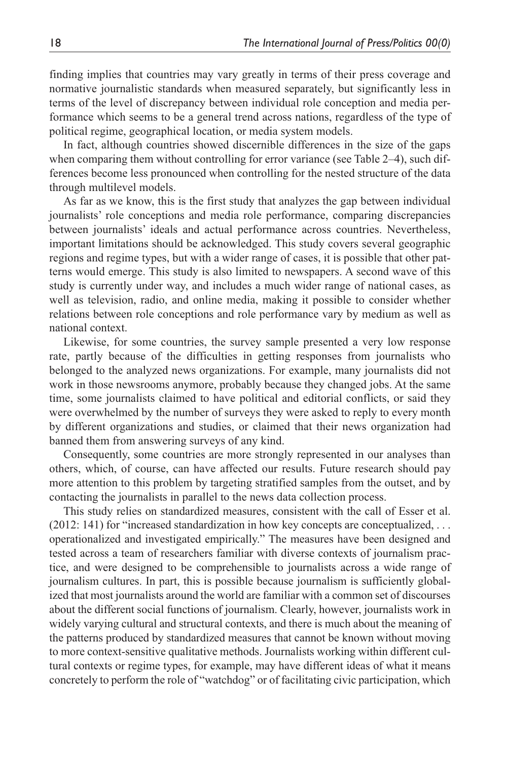finding implies that countries may vary greatly in terms of their press coverage and normative journalistic standards when measured separately, but significantly less in terms of the level of discrepancy between individual role conception and media performance which seems to be a general trend across nations, regardless of the type of political regime, geographical location, or media system models.

In fact, although countries showed discernible differences in the size of the gaps when comparing them without controlling for error variance (see Table 2–4), such differences become less pronounced when controlling for the nested structure of the data through multilevel models.

As far as we know, this is the first study that analyzes the gap between individual journalists' role conceptions and media role performance, comparing discrepancies between journalists' ideals and actual performance across countries. Nevertheless, important limitations should be acknowledged. This study covers several geographic regions and regime types, but with a wider range of cases, it is possible that other patterns would emerge. This study is also limited to newspapers. A second wave of this study is currently under way, and includes a much wider range of national cases, as well as television, radio, and online media, making it possible to consider whether relations between role conceptions and role performance vary by medium as well as national context.

Likewise, for some countries, the survey sample presented a very low response rate, partly because of the difficulties in getting responses from journalists who belonged to the analyzed news organizations. For example, many journalists did not work in those newsrooms anymore, probably because they changed jobs. At the same time, some journalists claimed to have political and editorial conflicts, or said they were overwhelmed by the number of surveys they were asked to reply to every month by different organizations and studies, or claimed that their news organization had banned them from answering surveys of any kind.

Consequently, some countries are more strongly represented in our analyses than others, which, of course, can have affected our results. Future research should pay more attention to this problem by targeting stratified samples from the outset, and by contacting the journalists in parallel to the news data collection process.

This study relies on standardized measures, consistent with the call of Esser et al. (2012: 141) for "increased standardization in how key concepts are conceptualized, . . . operationalized and investigated empirically." The measures have been designed and tested across a team of researchers familiar with diverse contexts of journalism practice, and were designed to be comprehensible to journalists across a wide range of journalism cultures. In part, this is possible because journalism is sufficiently globalized that most journalists around the world are familiar with a common set of discourses about the different social functions of journalism. Clearly, however, journalists work in widely varying cultural and structural contexts, and there is much about the meaning of the patterns produced by standardized measures that cannot be known without moving to more context-sensitive qualitative methods. Journalists working within different cultural contexts or regime types, for example, may have different ideas of what it means concretely to perform the role of "watchdog" or of facilitating civic participation, which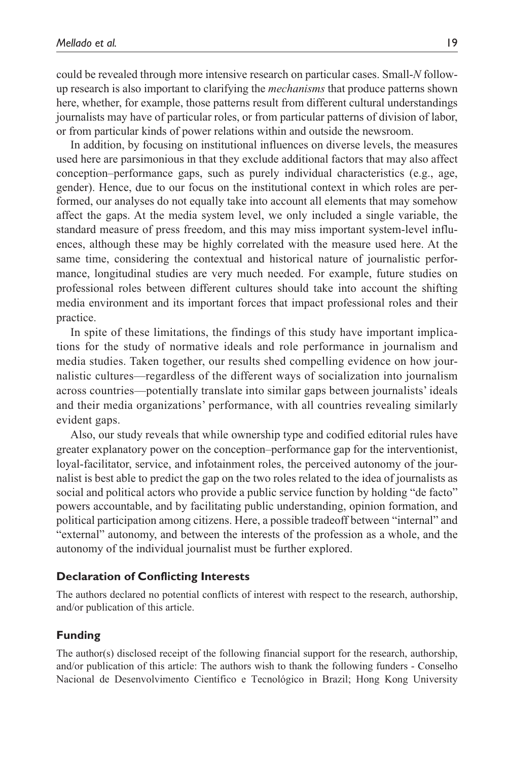could be revealed through more intensive research on particular cases. Small-*N* followup research is also important to clarifying the *mechanisms* that produce patterns shown here, whether, for example, those patterns result from different cultural understandings journalists may have of particular roles, or from particular patterns of division of labor, or from particular kinds of power relations within and outside the newsroom.

In addition, by focusing on institutional influences on diverse levels, the measures used here are parsimonious in that they exclude additional factors that may also affect conception–performance gaps, such as purely individual characteristics (e.g., age, gender). Hence, due to our focus on the institutional context in which roles are performed, our analyses do not equally take into account all elements that may somehow affect the gaps. At the media system level, we only included a single variable, the standard measure of press freedom, and this may miss important system-level influences, although these may be highly correlated with the measure used here. At the same time, considering the contextual and historical nature of journalistic performance, longitudinal studies are very much needed. For example, future studies on professional roles between different cultures should take into account the shifting media environment and its important forces that impact professional roles and their practice.

In spite of these limitations, the findings of this study have important implications for the study of normative ideals and role performance in journalism and media studies. Taken together, our results shed compelling evidence on how journalistic cultures—regardless of the different ways of socialization into journalism across countries—potentially translate into similar gaps between journalists' ideals and their media organizations' performance, with all countries revealing similarly evident gaps.

Also, our study reveals that while ownership type and codified editorial rules have greater explanatory power on the conception–performance gap for the interventionist, loyal-facilitator, service, and infotainment roles, the perceived autonomy of the journalist is best able to predict the gap on the two roles related to the idea of journalists as social and political actors who provide a public service function by holding "de facto" powers accountable, and by facilitating public understanding, opinion formation, and political participation among citizens. Here, a possible tradeoff between "internal" and "external" autonomy, and between the interests of the profession as a whole, and the autonomy of the individual journalist must be further explored.

### **Declaration of Conflicting Interests**

The authors declared no potential conflicts of interest with respect to the research, authorship, and/or publication of this article.

### **Funding**

The author(s) disclosed receipt of the following financial support for the research, authorship, and/or publication of this article: The authors wish to thank the following funders - Conselho Nacional de Desenvolvimento Científico e Tecnológico in Brazil; Hong Kong University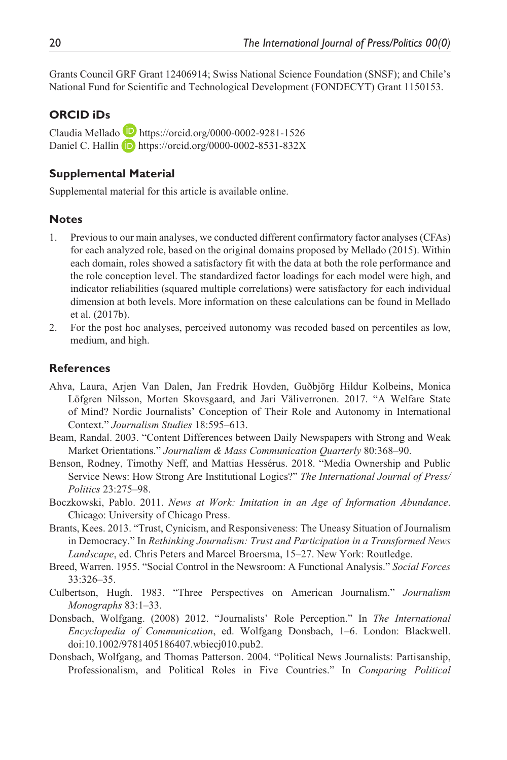Grants Council GRF Grant 12406914; Swiss National Science Foundation (SNSF); and Chile's National Fund for Scientific and Technological Development (FONDECYT) Grant 1150153.

### **ORCID iDs**

Claudia Mellado <https://orcid.org/0000-0002-9281-1526> Daniel C. Hallin D <https://orcid.org/0000-0002-8531-832X>

### **Supplemental Material**

Supplemental material for this article is available online.

#### **Notes**

- 1. Previous to our main analyses, we conducted different confirmatory factor analyses (CFAs) for each analyzed role, based on the original domains proposed by Mellado (2015). Within each domain, roles showed a satisfactory fit with the data at both the role performance and the role conception level. The standardized factor loadings for each model were high, and indicator reliabilities (squared multiple correlations) were satisfactory for each individual dimension at both levels. More information on these calculations can be found in Mellado et al. (2017b).
- 2. For the post hoc analyses, perceived autonomy was recoded based on percentiles as low, medium, and high.

### **References**

- Ahva, Laura, Arjen Van Dalen, Jan Fredrik Hovden, Guðbjörg Hildur Kolbeins, Monica Löfgren Nilsson, Morten Skovsgaard, and Jari Väliverronen. 2017. "A Welfare State of Mind? Nordic Journalists' Conception of Their Role and Autonomy in International Context." *Journalism Studies* 18:595–613.
- Beam, Randal. 2003. "Content Differences between Daily Newspapers with Strong and Weak Market Orientations." *Journalism & Mass Communication Quarterly* 80:368–90.
- Benson, Rodney, Timothy Neff, and Mattias Hessérus. 2018. "Media Ownership and Public Service News: How Strong Are Institutional Logics?" *The International Journal of Press/ Politics* 23:275–98.
- Boczkowski, Pablo. 2011. *News at Work: Imitation in an Age of Information Abundance*. Chicago: University of Chicago Press.
- Brants, Kees. 2013. "Trust, Cynicism, and Responsiveness: The Uneasy Situation of Journalism in Democracy." In *Rethinking Journalism: Trust and Participation in a Transformed News Landscape*, ed. Chris Peters and Marcel Broersma, 15–27. New York: Routledge.
- Breed, Warren. 1955. "Social Control in the Newsroom: A Functional Analysis." *Social Forces* 33:326–35.
- Culbertson, Hugh. 1983. "Three Perspectives on American Journalism." *Journalism Monographs* 83:1–33.
- Donsbach, Wolfgang. (2008) 2012. "Journalists' Role Perception." In *The International Encyclopedia of Communication*, ed. Wolfgang Donsbach, 1–6. London: Blackwell. doi:10.1002/9781405186407.wbiecj010.pub2.
- Donsbach, Wolfgang, and Thomas Patterson. 2004. "Political News Journalists: Partisanship, Professionalism, and Political Roles in Five Countries." In *Comparing Political*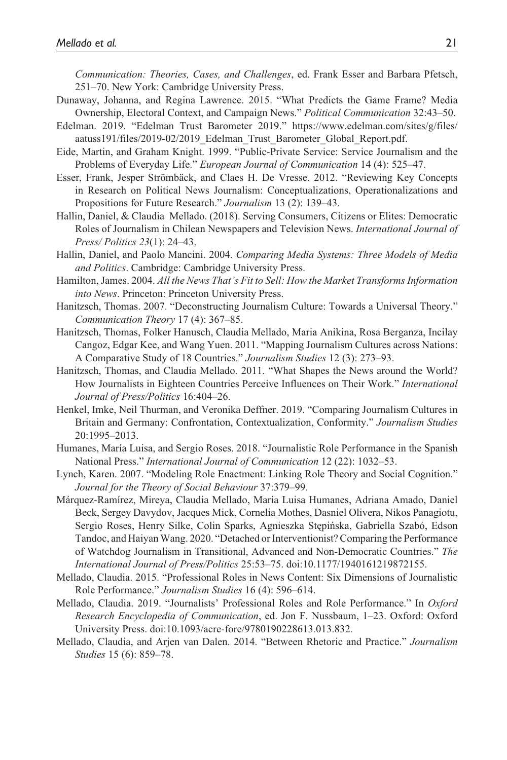*Communication: Theories, Cases, and Challenges*, ed. Frank Esser and Barbara Pfetsch, 251–70. New York: Cambridge University Press.

- Dunaway, Johanna, and Regina Lawrence. 2015. "What Predicts the Game Frame? Media Ownership, Electoral Context, and Campaign News." *Political Communication* 32:43–50.
- Edelman. 2019. "Edelman Trust Barometer 2019." [https://www.edelman.com/sites/g/files/](https://www.edelman.com/sites/g/files/aatuss191/files/2019-02/2019_Edelman_Trust_Barometer_Global_Report.pdf) aatuss191/files/2019-02/2019 Edelman Trust Barometer Global Report.pdf.
- Eide, Martin, and Graham Knight. 1999. "Public-Private Service: Service Journalism and the Problems of Everyday Life." *European Journal of Communication* 14 (4): 525–47.
- Esser, Frank, Jesper Strömbäck, and Claes H. De Vresse. 2012. "Reviewing Key Concepts in Research on Political News Journalism: Conceptualizations, Operationalizations and Propositions for Future Research." *Journalism* 13 (2): 139–43.
- Hallin, Daniel, & Claudia Mellado. (2018). Serving Consumers, Citizens or Elites: Democratic Roles of Journalism in Chilean Newspapers and Television News. *International Journal of Press/ Politics 23*(1): 24–43.
- Hallin, Daniel, and Paolo Mancini. 2004. *Comparing Media Systems: Three Models of Media and Politics*. Cambridge: Cambridge University Press.
- Hamilton, James. 2004. *All the News That's Fit to Sell: How the Market Transforms Information into News*. Princeton: Princeton University Press.
- Hanitzsch, Thomas. 2007. "Deconstructing Journalism Culture: Towards a Universal Theory." *Communication Theory* 17 (4): 367–85.
- Hanitzsch, Thomas, Folker Hanusch, Claudia Mellado, Maria Anikina, Rosa Berganza, Incilay Cangoz, Edgar Kee, and Wang Yuen. 2011. "Mapping Journalism Cultures across Nations: A Comparative Study of 18 Countries." *Journalism Studies* 12 (3): 273–93.
- Hanitzsch, Thomas, and Claudia Mellado. 2011. "What Shapes the News around the World? How Journalists in Eighteen Countries Perceive Influences on Their Work." *International Journal of Press/Politics* 16:404–26.
- Henkel, Imke, Neil Thurman, and Veronika Deffner. 2019. "Comparing Journalism Cultures in Britain and Germany: Confrontation, Contextualization, Conformity." *Journalism Studies* 20:1995–2013.
- Humanes, María Luisa, and Sergio Roses. 2018. "Journalistic Role Performance in the Spanish National Press." *International Journal of Communication* 12 (22): 1032–53.
- Lynch, Karen. 2007. "Modeling Role Enactment: Linking Role Theory and Social Cognition." *Journal for the Theory of Social Behaviour* 37:379–99.
- Márquez-Ramírez, Mireya, Claudia Mellado, María Luisa Humanes, Adriana Amado, Daniel Beck, Sergey Davydov, Jacques Mick, Cornelia Mothes, Dasniel Olivera, Nikos Panagiotu, Sergio Roses, Henry Silke, Colin Sparks, Agnieszka Stępińska, Gabriella Szabó, Edson Tandoc, and Haiyan Wang. 2020. "Detached or Interventionist? Comparing the Performance of Watchdog Journalism in Transitional, Advanced and Non-Democratic Countries." *The International Journal of Press/Politics* 25:53–75. doi:10.1177/1940161219872155.
- Mellado, Claudia. 2015. "Professional Roles in News Content: Six Dimensions of Journalistic Role Performance." *Journalism Studies* 16 (4): 596–614.
- Mellado, Claudia. 2019. "Journalists' Professional Roles and Role Performance." In *Oxford Research Encyclopedia of Communication*, ed. Jon F. Nussbaum, 1–23. Oxford: Oxford University Press. doi:10.1093/acre-fore/9780190228613.013.832.
- Mellado, Claudia, and Arjen van Dalen. 2014. "Between Rhetoric and Practice." *Journalism Studies* 15 (6): 859–78.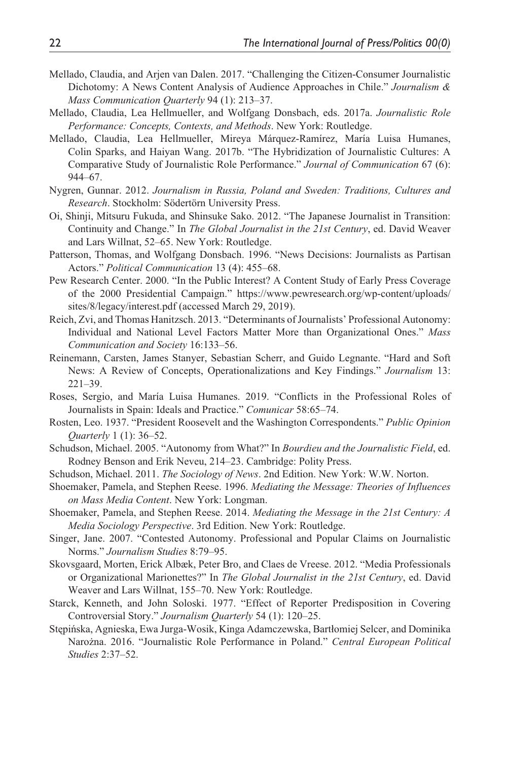- Mellado, Claudia, and Arjen van Dalen. 2017. "Challenging the Citizen-Consumer Journalistic Dichotomy: A News Content Analysis of Audience Approaches in Chile." *Journalism & Mass Communication Quarterly* 94 (1): 213–37.
- Mellado, Claudia, Lea Hellmueller, and Wolfgang Donsbach, eds. 2017a. *Journalistic Role Performance: Concepts, Contexts, and Methods*. New York: Routledge.
- Mellado, Claudia, Lea Hellmueller, Mireya Márquez-Ramírez, María Luisa Humanes, Colin Sparks, and Haiyan Wang. 2017b. "The Hybridization of Journalistic Cultures: A Comparative Study of Journalistic Role Performance." *Journal of Communication* 67 (6): 944–67.
- Nygren, Gunnar. 2012. *Journalism in Russia, Poland and Sweden: Traditions, Cultures and Research*. Stockholm: Södertörn University Press.
- Oi, Shinji, Mitsuru Fukuda, and Shinsuke Sako. 2012. "The Japanese Journalist in Transition: Continuity and Change." In *The Global Journalist in the 21st Century*, ed. David Weaver and Lars Willnat, 52–65. New York: Routledge.
- Patterson, Thomas, and Wolfgang Donsbach. 1996. "News Decisions: Journalists as Partisan Actors." *Political Communication* 13 (4): 455–68.
- Pew Research Center. 2000. "In the Public Interest? A Content Study of Early Press Coverage of the 2000 Presidential Campaign." [https://www.pewresearch.org/wp-content/uploads/](https://www.pewresearch.org/wp-content/uploads/sites/8/legacy/interest.pdf) [sites/8/legacy/interest.pdf](https://www.pewresearch.org/wp-content/uploads/sites/8/legacy/interest.pdf) (accessed March 29, 2019).
- Reich, Zvi, and Thomas Hanitzsch. 2013. "Determinants of Journalists' Professional Autonomy: Individual and National Level Factors Matter More than Organizational Ones." *Mass Communication and Society* 16:133–56.
- Reinemann, Carsten, James Stanyer, Sebastian Scherr, and Guido Legnante. "Hard and Soft News: A Review of Concepts, Operationalizations and Key Findings." *Journalism* 13: 221–39.
- Roses, Sergio, and María Luisa Humanes. 2019. "Conflicts in the Professional Roles of Journalists in Spain: Ideals and Practice." *Comunicar* 58:65–74.
- Rosten, Leo. 1937. "President Roosevelt and the Washington Correspondents." *Public Opinion Quarterly* 1 (1): 36–52.
- Schudson, Michael. 2005. "Autonomy from What?" In *Bourdieu and the Journalistic Field*, ed. Rodney Benson and Erik Neveu, 214–23. Cambridge: Polity Press.
- Schudson, Michael. 2011. *The Sociology of News*. 2nd Edition. New York: W.W. Norton.
- Shoemaker, Pamela, and Stephen Reese. 1996. *Mediating the Message: Theories of Influences on Mass Media Content*. New York: Longman.
- Shoemaker, Pamela, and Stephen Reese. 2014. *Mediating the Message in the 21st Century: A Media Sociology Perspective*. 3rd Edition. New York: Routledge.
- Singer, Jane. 2007. "Contested Autonomy. Professional and Popular Claims on Journalistic Norms." *Journalism Studies* 8:79–95.
- Skovsgaard, Morten, Erick Albæk, Peter Bro, and Claes de Vreese. 2012. "Media Professionals or Organizational Marionettes?" In *The Global Journalist in the 21st Century*, ed. David Weaver and Lars Willnat, 155–70. New York: Routledge.
- Starck, Kenneth, and John Soloski. 1977. "Effect of Reporter Predisposition in Covering Controversial Story." *Journalism Quarterly* 54 (1): 120–25.
- Stępińska, Agnieska, Ewa Jurga-Wosik, Kinga Adamczewska, Bartłomiej Selcer, and Dominika Narożna. 2016. "Journalistic Role Performance in Poland." *Central European Political Studies* 2:37–52.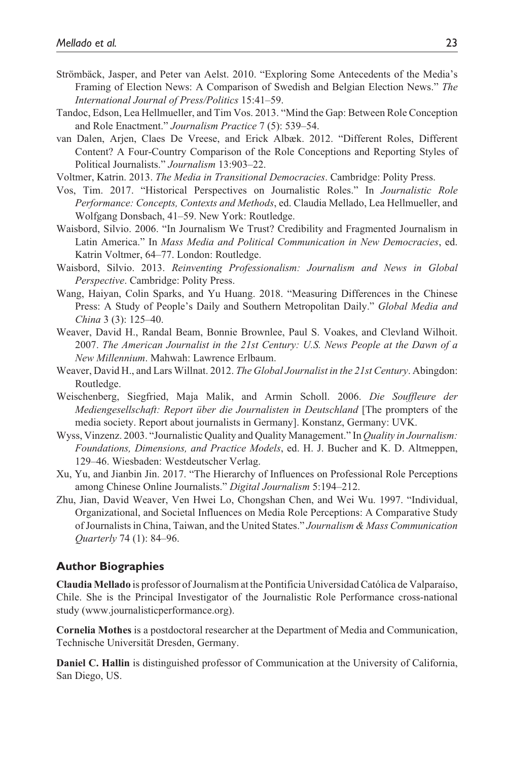- Strömbäck, Jasper, and Peter van Aelst. 2010. "Exploring Some Antecedents of the Media's Framing of Election News: A Comparison of Swedish and Belgian Election News." *The International Journal of Press/Politics* 15:41–59.
- Tandoc, Edson, Lea Hellmueller, and Tim Vos. 2013. "Mind the Gap: Between Role Conception and Role Enactment." *Journalism Practice* 7 (5): 539–54.
- van Dalen, Arjen, Claes De Vreese, and Erick Albæk. 2012. "Different Roles, Different Content? A Four-Country Comparison of the Role Conceptions and Reporting Styles of Political Journalists." *Journalism* 13:903–22.

Voltmer, Katrin. 2013. *The Media in Transitional Democracies*. Cambridge: Polity Press.

- Vos, Tim. 2017. "Historical Perspectives on Journalistic Roles." In *Journalistic Role Performance: Concepts, Contexts and Methods*, ed. Claudia Mellado, Lea Hellmueller, and Wolfgang Donsbach, 41–59. New York: Routledge.
- Waisbord, Silvio. 2006. "In Journalism We Trust? Credibility and Fragmented Journalism in Latin America." In *Mass Media and Political Communication in New Democracies*, ed. Katrin Voltmer, 64–77. London: Routledge.
- Waisbord, Silvio. 2013. *Reinventing Professionalism: Journalism and News in Global Perspective*. Cambridge: Polity Press.
- Wang, Haiyan, Colin Sparks, and Yu Huang. 2018. "Measuring Differences in the Chinese Press: A Study of People's Daily and Southern Metropolitan Daily." *Global Media and China* 3 (3): 125–40.
- Weaver, David H., Randal Beam, Bonnie Brownlee, Paul S. Voakes, and Clevland Wilhoit. 2007. *The American Journalist in the 21st Century: U.S. News People at the Dawn of a New Millennium*. Mahwah: Lawrence Erlbaum.
- Weaver, David H., and Lars Willnat. 2012. *The Global Journalist in the 21st Century*. Abingdon: Routledge.
- Weischenberg, Siegfried, Maja Malik, and Armin Scholl. 2006. *Die Souffleure der Mediengesellschaft: Report über die Journalisten in Deutschland* [The prompters of the media society. Report about journalists in Germany]. Konstanz, Germany: UVK.
- Wyss, Vinzenz. 2003. "Journalistic Quality and Quality Management." In *Quality in Journalism: Foundations, Dimensions, and Practice Models*, ed. H. J. Bucher and K. D. Altmeppen, 129–46. Wiesbaden: Westdeutscher Verlag.
- Xu, Yu, and Jianbin Jin. 2017. "The Hierarchy of Influences on Professional Role Perceptions among Chinese Online Journalists." *Digital Journalism* 5:194–212.
- Zhu, Jian, David Weaver, Ven Hwei Lo, Chongshan Chen, and Wei Wu. 1997. "Individual, Organizational, and Societal Influences on Media Role Perceptions: A Comparative Study of Journalists in China, Taiwan, and the United States." *Journalism & Mass Communication Quarterly* 74 (1): 84–96.

#### **Author Biographies**

**Claudia Mellado** is professor of Journalism at the Pontificia Universidad Católica de Valparaíso, Chile. She is the Principal Investigator of the Journalistic Role Performance cross-national study (www.journalisticperformance.org).

**Cornelia Mothes** is a postdoctoral researcher at the Department of Media and Communication, Technische Universität Dresden, Germany.

**Daniel C. Hallin** is distinguished professor of Communication at the University of California, San Diego, US.